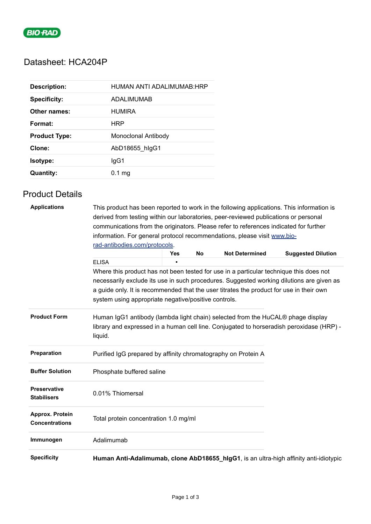

# Datasheet: HCA204P

| <b>Description:</b>  | HUMAN ANTI ADALIMUMAB:HRP |
|----------------------|---------------------------|
| <b>Specificity:</b>  | ADALIMUMAB                |
| Other names:         | <b>HUMIRA</b>             |
| Format:              | HRP                       |
| <b>Product Type:</b> | Monoclonal Antibody       |
| Clone:               | AbD18655_hlgG1            |
| <b>Isotype:</b>      | lgG1                      |
| Quantity:            | $0.1$ mg                  |

## Product Details

| <b>Applications</b>                       | This product has been reported to work in the following applications. This information is                                                                                              |                 |           |                       |                           |  |  |  |
|-------------------------------------------|----------------------------------------------------------------------------------------------------------------------------------------------------------------------------------------|-----------------|-----------|-----------------------|---------------------------|--|--|--|
|                                           | derived from testing within our laboratories, peer-reviewed publications or personal                                                                                                   |                 |           |                       |                           |  |  |  |
|                                           | communications from the originators. Please refer to references indicated for further                                                                                                  |                 |           |                       |                           |  |  |  |
|                                           | information. For general protocol recommendations, please visit www.bio-                                                                                                               |                 |           |                       |                           |  |  |  |
|                                           | rad-antibodies.com/protocols.                                                                                                                                                          |                 |           |                       |                           |  |  |  |
|                                           | <b>ELISA</b>                                                                                                                                                                           | <b>Yes</b><br>п | <b>No</b> | <b>Not Determined</b> | <b>Suggested Dilution</b> |  |  |  |
|                                           |                                                                                                                                                                                        |                 |           |                       |                           |  |  |  |
|                                           | Where this product has not been tested for use in a particular technique this does not<br>necessarily exclude its use in such procedures. Suggested working dilutions are given as     |                 |           |                       |                           |  |  |  |
|                                           |                                                                                                                                                                                        |                 |           |                       |                           |  |  |  |
|                                           | a guide only. It is recommended that the user titrates the product for use in their own                                                                                                |                 |           |                       |                           |  |  |  |
|                                           | system using appropriate negative/positive controls.                                                                                                                                   |                 |           |                       |                           |  |  |  |
| <b>Product Form</b>                       | Human IgG1 antibody (lambda light chain) selected from the HuCAL® phage display<br>library and expressed in a human cell line. Conjugated to horseradish peroxidase (HRP) -<br>liquid. |                 |           |                       |                           |  |  |  |
| Preparation                               | Purified IgG prepared by affinity chromatography on Protein A                                                                                                                          |                 |           |                       |                           |  |  |  |
| <b>Buffer Solution</b>                    | Phosphate buffered saline                                                                                                                                                              |                 |           |                       |                           |  |  |  |
| <b>Preservative</b><br><b>Stabilisers</b> | 0.01% Thiomersal                                                                                                                                                                       |                 |           |                       |                           |  |  |  |
| Approx. Protein<br><b>Concentrations</b>  | Total protein concentration 1.0 mg/ml                                                                                                                                                  |                 |           |                       |                           |  |  |  |
| Immunogen                                 | Adalimumab                                                                                                                                                                             |                 |           |                       |                           |  |  |  |
| <b>Specificity</b>                        | Human Anti-Adalimumab, clone AbD18655_hlgG1, is an ultra-high affinity anti-idiotypic                                                                                                  |                 |           |                       |                           |  |  |  |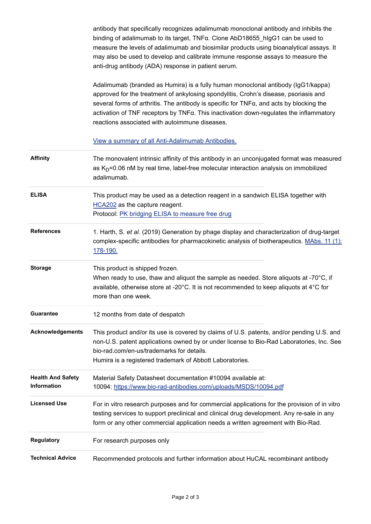antibody that specifically recognizes adalimumab monoclonal antibody and inhibits the binding of adalimumab to its target, TNFα. Clone AbD18655\_hIgG1 can be used to measure the levels of adalimumab and biosimilar products using bioanalytical assays. It may also be used to develop and calibrate immune response assays to measure the anti-drug antibody (ADA) response in patient serum.

Adalimumab (branded as Humira) is a fully human monoclonal antibody (IgG1/kappa) approved for the treatment of ankylosing spondylitis, Crohn's disease, psoriasis and several forms of arthritis. The antibody is specific for TNFα, and acts by blocking the activation of TNF receptors by TNFα. This inactivation down-regulates the inflammatory reactions associated with autoimmune diseases.

#### [View a summary of all Anti-Adalimumab Antibodies.](https://www.bio-rad-antibodies.com/anti-humira-antibodies.html)

| <b>Affinity</b>                                | The monovalent intrinsic affinity of this antibody in an unconjugated format was measured<br>as $K_D$ =0.06 nM by real time, label-free molecular interaction analysis on immobilized<br>adalimumab.                                                                                           |
|------------------------------------------------|------------------------------------------------------------------------------------------------------------------------------------------------------------------------------------------------------------------------------------------------------------------------------------------------|
| <b>ELISA</b>                                   | This product may be used as a detection reagent in a sandwich ELISA together with<br>HCA202 as the capture reagent.<br>Protocol: PK bridging ELISA to measure free drug                                                                                                                        |
| <b>References</b>                              | 1. Harth, S. et al. (2019) Generation by phage display and characterization of drug-target<br>complex-specific antibodies for pharmacokinetic analysis of biotherapeutics. MAbs. 11 (1):<br>178-190.                                                                                           |
| <b>Storage</b>                                 | This product is shipped frozen.<br>When ready to use, thaw and aliquot the sample as needed. Store aliquots at -70°C, if<br>available, otherwise store at -20°C. It is not recommended to keep aliquots at 4°C for<br>more than one week.                                                      |
| <b>Guarantee</b>                               | 12 months from date of despatch                                                                                                                                                                                                                                                                |
| <b>Acknowledgements</b>                        | This product and/or its use is covered by claims of U.S. patents, and/or pending U.S. and<br>non-U.S. patent applications owned by or under license to Bio-Rad Laboratories, Inc. See<br>bio-rad.com/en-us/trademarks for details.<br>Humira is a registered trademark of Abbott Laboratories. |
| <b>Health And Safety</b><br><b>Information</b> | Material Safety Datasheet documentation #10094 available at:<br>10094: https://www.bio-rad-antibodies.com/uploads/MSDS/10094.pdf                                                                                                                                                               |
| <b>Licensed Use</b>                            | For in vitro research purposes and for commercial applications for the provision of in vitro<br>testing services to support preclinical and clinical drug development. Any re-sale in any<br>form or any other commercial application needs a written agreement with Bio-Rad.                  |
| Regulatory                                     | For research purposes only                                                                                                                                                                                                                                                                     |
| <b>Technical Advice</b>                        | Recommended protocols and further information about HuCAL recombinant antibody                                                                                                                                                                                                                 |